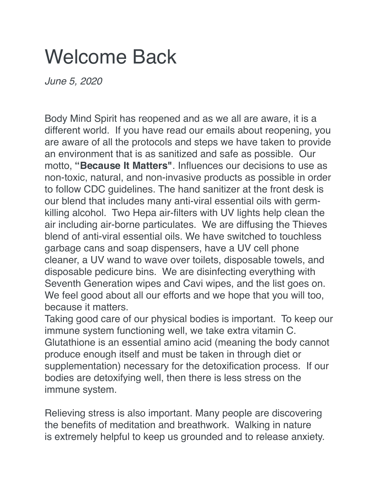## Welcome Back

*June 5, 2020*

Body Mind Spirit has reopened and as we all are aware, it is a different world. If you have read our emails about reopening, you are aware of all the protocols and steps we have taken to provide an environment that is as sanitized and safe as possible. Our motto, **"Because It Matters"**. Influences our decisions to use as non-toxic, natural, and non-invasive products as possible in order to follow CDC guidelines. The hand sanitizer at the front desk is our blend that includes many anti-viral essential oils with germkilling alcohol. Two Hepa air-filters with UV lights help clean the air including air-borne particulates. We are diffusing the Thieves blend of anti-viral essential oils. We have switched to touchless garbage cans and soap dispensers, have a UV cell phone cleaner, a UV wand to wave over toilets, disposable towels, and disposable pedicure bins. We are disinfecting everything with Seventh Generation wipes and Cavi wipes, and the list goes on. We feel good about all our efforts and we hope that you will too, because it matters.

Taking good care of our physical bodies is important. To keep our immune system functioning well, we take extra vitamin C. Glutathione is an essential amino acid (meaning the body cannot produce enough itself and must be taken in through diet or supplementation) necessary for the detoxification process. If our bodies are detoxifying well, then there is less stress on the immune system.

Relieving stress is also important. Many people are discovering the benefits of meditation and breathwork. Walking in nature is extremely helpful to keep us grounded and to release anxiety.